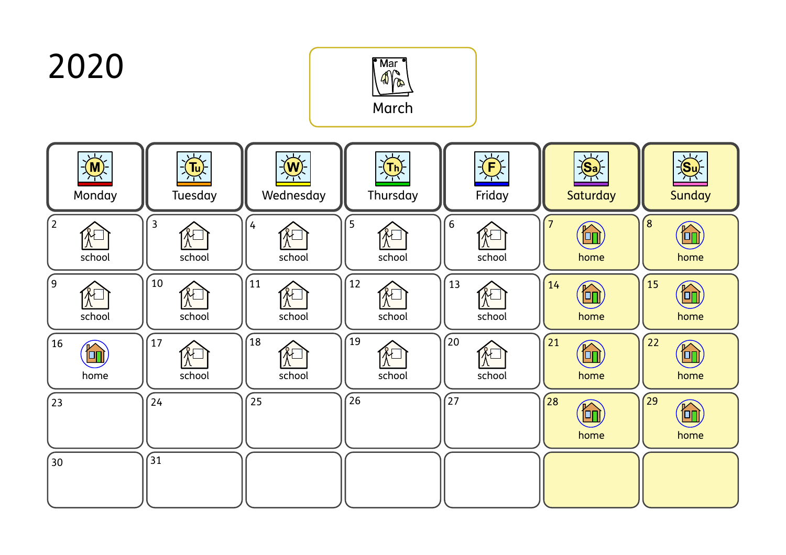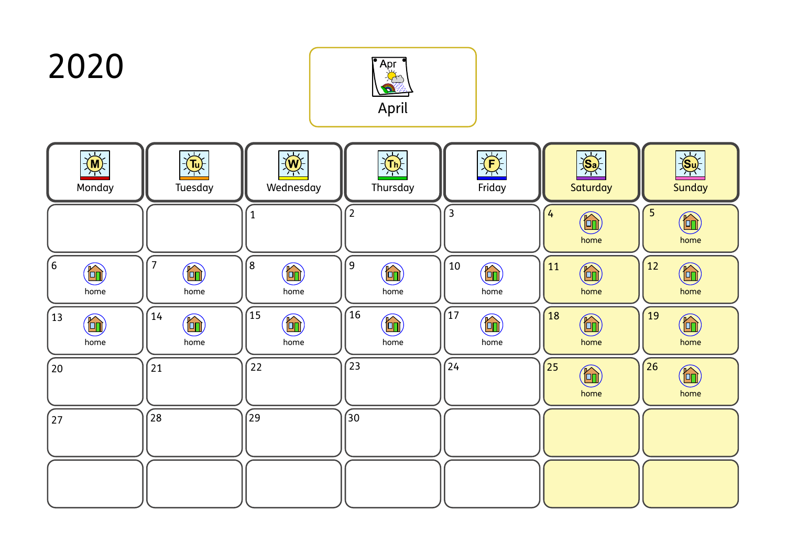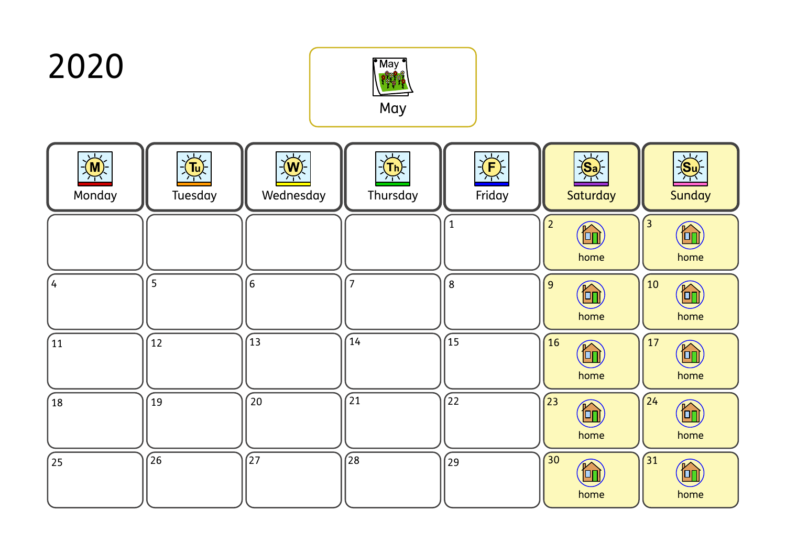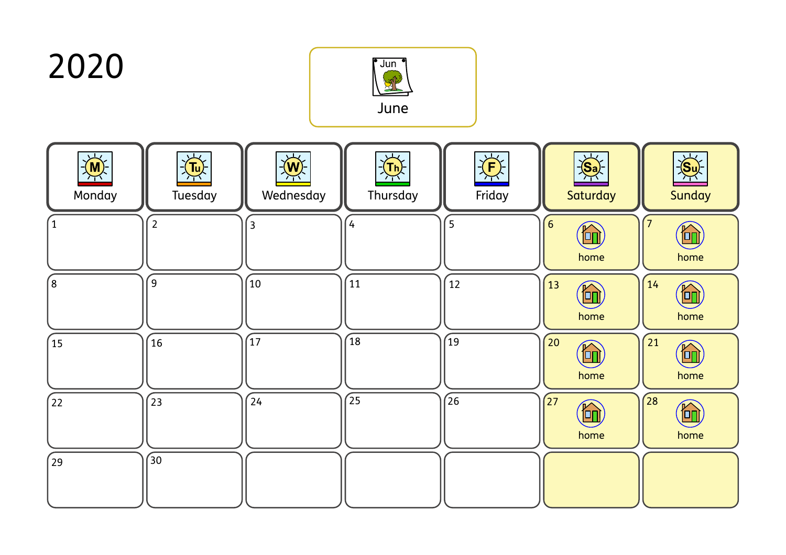